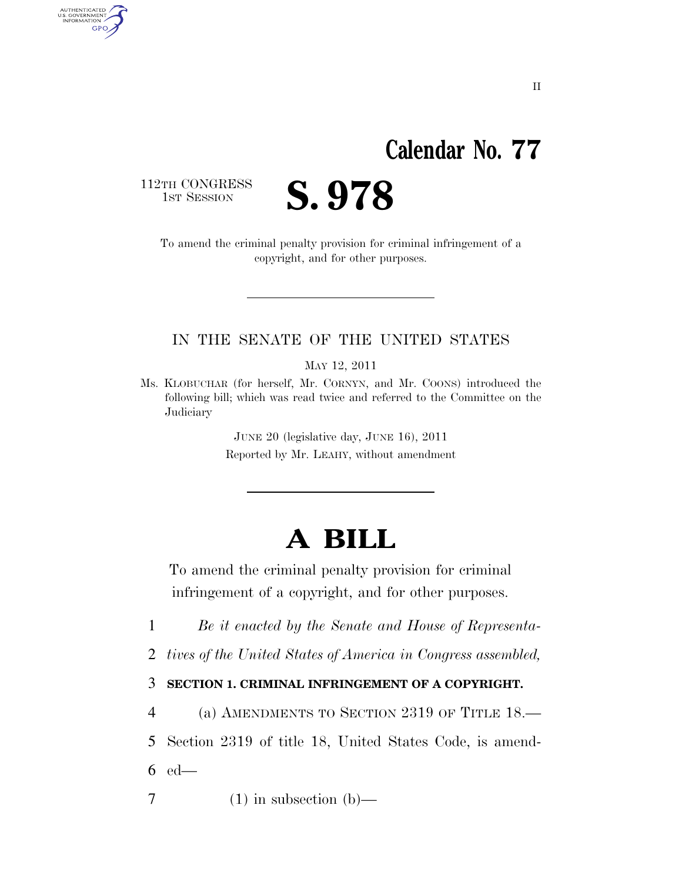## **Calendar No. 77**

112TH CONGRESS<br>1st Session

AUTHENTICATED<br>U.S. GOVERNMENT<br>INFORMATION GPO

S. 978

To amend the criminal penalty provision for criminal infringement of a copyright, and for other purposes.

## IN THE SENATE OF THE UNITED STATES

MAY 12, 2011

JUNE 20 (legislative day, JUNE 16), 2011 Reported by Mr. LEAHY, without amendment

## **A BILL**

To amend the criminal penalty provision for criminal infringement of a copyright, and for other purposes.

1 *Be it enacted by the Senate and House of Representa-*

2 *tives of the United States of America in Congress assembled,* 

3 **SECTION 1. CRIMINAL INFRINGEMENT OF A COPYRIGHT.** 

4 (a) AMENDMENTS TO SECTION 2319 OF TITLE 18.— 5 Section 2319 of title 18, United States Code, is amend-6 ed—

 $7 \t(1)$  in subsection (b)—

Ms. KLOBUCHAR (for herself, Mr. CORNYN, and Mr. COONS) introduced the following bill; which was read twice and referred to the Committee on the **Judiciary**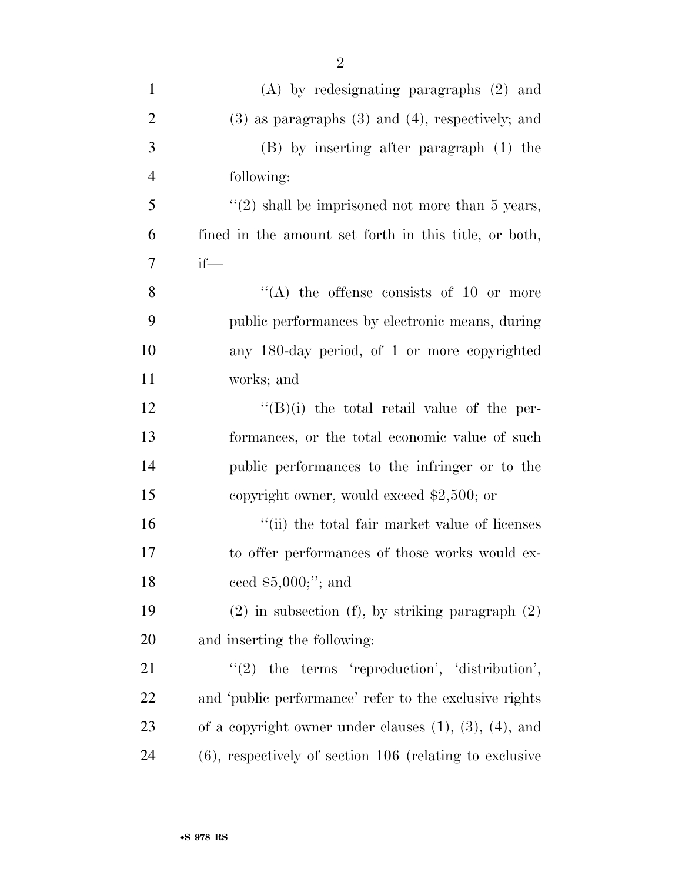| $\mathbf{1}$   | $(A)$ by redesignating paragraphs $(2)$ and                    |
|----------------|----------------------------------------------------------------|
| $\overline{2}$ | $(3)$ as paragraphs $(3)$ and $(4)$ , respectively; and        |
| 3              | (B) by inserting after paragraph (1) the                       |
| $\overline{4}$ | following:                                                     |
| 5              | $\lq(2)$ shall be imprisoned not more than 5 years,            |
| 6              | fined in the amount set forth in this title, or both,          |
| 7              | $if$ —                                                         |
| 8              | "(A) the offense consists of 10 or more                        |
| 9              | public performances by electronic means, during                |
| 10             | any 180-day period, of 1 or more copyrighted                   |
| 11             | works; and                                                     |
| 12             | $\lq\lq (B)(i)$ the total retail value of the per-             |
| 13             | formances, or the total economic value of such                 |
| 14             | public performances to the infringer or to the                 |
| 15             | copyright owner, would exceed $$2,500$ ; or                    |
| 16             | "(ii) the total fair market value of licenses                  |
| 17             | to offer performances of those works would ex-                 |
| 18             | ceed $$5,000$ ;"; and                                          |
| 19             | $(2)$ in subsection (f), by striking paragraph $(2)$           |
| 20             | and inserting the following:                                   |
| 21             | $"(2)$ the terms 'reproduction', 'distribution',               |
| 22             | and 'public performance' refer to the exclusive rights         |
| 23             | of a copyright owner under clauses $(1)$ , $(3)$ , $(4)$ , and |
| 24             | $(6)$ , respectively of section 106 (relating to exclusive     |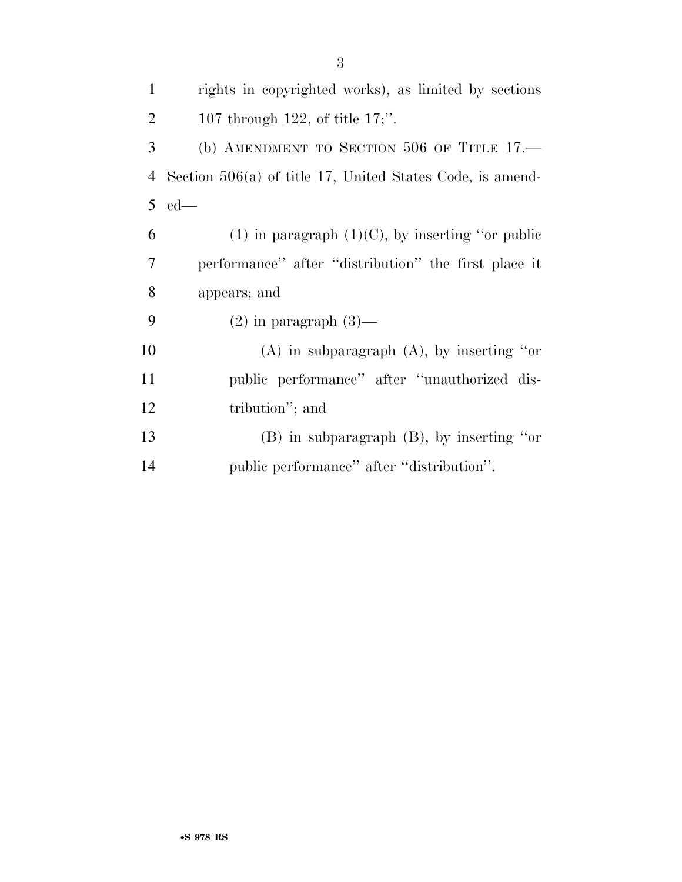| $\mathbf{1}$   | rights in copyrighted works), as limited by sections        |
|----------------|-------------------------------------------------------------|
| $\overline{2}$ | 107 through 122, of title $17$ ;".                          |
| 3              | (b) AMENDMENT TO SECTION 506 OF TITLE $17$ .                |
| 4              | Section $506(a)$ of title 17, United States Code, is amend- |
| $\overline{5}$ | $ed$ —                                                      |
| 6              | (1) in paragraph $(1)(C)$ , by inserting "or public         |
| 7              | performance" after "distribution" the first place it        |
| 8              | appears; and                                                |
| 9              | $(2)$ in paragraph $(3)$ —                                  |
| 10             | $(A)$ in subparagraph $(A)$ , by inserting "or              |
| 11             | public performance" after "unauthorized dis-                |
| 12             | tribution"; and                                             |
| 13             | $(B)$ in subparagraph $(B)$ , by inserting "or              |
| 14             | public performance" after "distribution".                   |